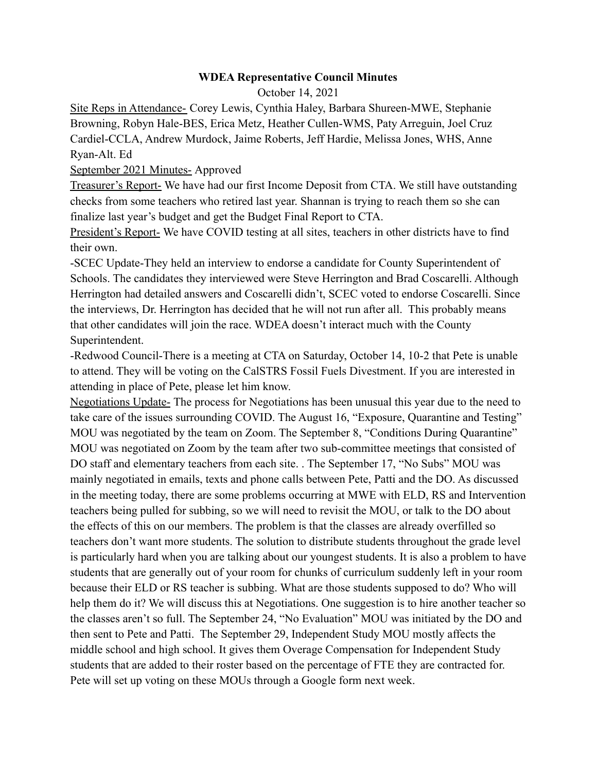## **WDEA Representative Council Minutes**

October 14, 2021

Site Reps in Attendance- Corey Lewis, Cynthia Haley, Barbara Shureen-MWE, Stephanie Browning, Robyn Hale-BES, Erica Metz, Heather Cullen-WMS, Paty Arreguin, Joel Cruz Cardiel-CCLA, Andrew Murdock, Jaime Roberts, Jeff Hardie, Melissa Jones, WHS, Anne Ryan-Alt. Ed

## September 2021 Minutes- Approved

Treasurer's Report- We have had our first Income Deposit from CTA. We still have outstanding checks from some teachers who retired last year. Shannan is trying to reach them so she can finalize last year's budget and get the Budget Final Report to CTA.

President's Report- We have COVID testing at all sites, teachers in other districts have to find their own.

-SCEC Update-They held an interview to endorse a candidate for County Superintendent of Schools. The candidates they interviewed were Steve Herrington and Brad Coscarelli. Although Herrington had detailed answers and Coscarelli didn't, SCEC voted to endorse Coscarelli. Since the interviews, Dr. Herrington has decided that he will not run after all. This probably means that other candidates will join the race. WDEA doesn't interact much with the County Superintendent.

-Redwood Council-There is a meeting at CTA on Saturday, October 14, 10-2 that Pete is unable to attend. They will be voting on the CalSTRS Fossil Fuels Divestment. If you are interested in attending in place of Pete, please let him know.

Negotiations Update- The process for Negotiations has been unusual this year due to the need to take care of the issues surrounding COVID. The August 16, "Exposure, Quarantine and Testing" MOU was negotiated by the team on Zoom. The September 8, "Conditions During Quarantine" MOU was negotiated on Zoom by the team after two sub-committee meetings that consisted of DO staff and elementary teachers from each site. . The September 17, "No Subs" MOU was mainly negotiated in emails, texts and phone calls between Pete, Patti and the DO. As discussed in the meeting today, there are some problems occurring at MWE with ELD, RS and Intervention teachers being pulled for subbing, so we will need to revisit the MOU, or talk to the DO about the effects of this on our members. The problem is that the classes are already overfilled so teachers don't want more students. The solution to distribute students throughout the grade level is particularly hard when you are talking about our youngest students. It is also a problem to have students that are generally out of your room for chunks of curriculum suddenly left in your room because their ELD or RS teacher is subbing. What are those students supposed to do? Who will help them do it? We will discuss this at Negotiations. One suggestion is to hire another teacher so the classes aren't so full. The September 24, "No Evaluation" MOU was initiated by the DO and then sent to Pete and Patti. The September 29, Independent Study MOU mostly affects the middle school and high school. It gives them Overage Compensation for Independent Study students that are added to their roster based on the percentage of FTE they are contracted for. Pete will set up voting on these MOUs through a Google form next week.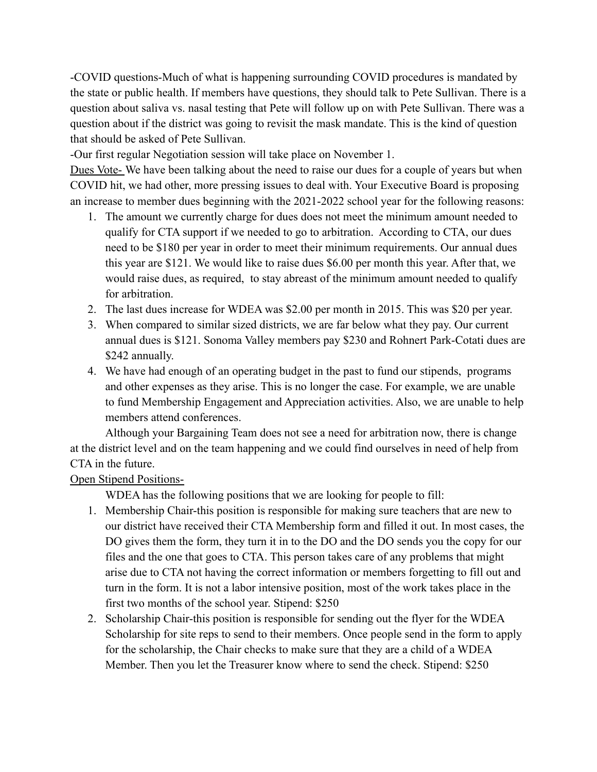-COVID questions-Much of what is happening surrounding COVID procedures is mandated by the state or public health. If members have questions, they should talk to Pete Sullivan. There is a question about saliva vs. nasal testing that Pete will follow up on with Pete Sullivan. There was a question about if the district was going to revisit the mask mandate. This is the kind of question that should be asked of Pete Sullivan.

-Our first regular Negotiation session will take place on November 1.

Dues Vote- We have been talking about the need to raise our dues for a couple of years but when COVID hit, we had other, more pressing issues to deal with. Your Executive Board is proposing an increase to member dues beginning with the 2021-2022 school year for the following reasons:

- 1. The amount we currently charge for dues does not meet the minimum amount needed to qualify for CTA support if we needed to go to arbitration. According to CTA, our dues need to be \$180 per year in order to meet their minimum requirements. Our annual dues this year are \$121. We would like to raise dues \$6.00 per month this year. After that, we would raise dues, as required, to stay abreast of the minimum amount needed to qualify for arbitration.
- 2. The last dues increase for WDEA was \$2.00 per month in 2015. This was \$20 per year.
- 3. When compared to similar sized districts, we are far below what they pay. Our current annual dues is \$121. Sonoma Valley members pay \$230 and Rohnert Park-Cotati dues are \$242 annually.
- 4. We have had enough of an operating budget in the past to fund our stipends, programs and other expenses as they arise. This is no longer the case. For example, we are unable to fund Membership Engagement and Appreciation activities. Also, we are unable to help members attend conferences.

Although your Bargaining Team does not see a need for arbitration now, there is change at the district level and on the team happening and we could find ourselves in need of help from CTA in the future.

## Open Stipend Positions-

WDEA has the following positions that we are looking for people to fill:

- 1. Membership Chair-this position is responsible for making sure teachers that are new to our district have received their CTA Membership form and filled it out. In most cases, the DO gives them the form, they turn it in to the DO and the DO sends you the copy for our files and the one that goes to CTA. This person takes care of any problems that might arise due to CTA not having the correct information or members forgetting to fill out and turn in the form. It is not a labor intensive position, most of the work takes place in the first two months of the school year. Stipend: \$250
- 2. Scholarship Chair-this position is responsible for sending out the flyer for the WDEA Scholarship for site reps to send to their members. Once people send in the form to apply for the scholarship, the Chair checks to make sure that they are a child of a WDEA Member. Then you let the Treasurer know where to send the check. Stipend: \$250